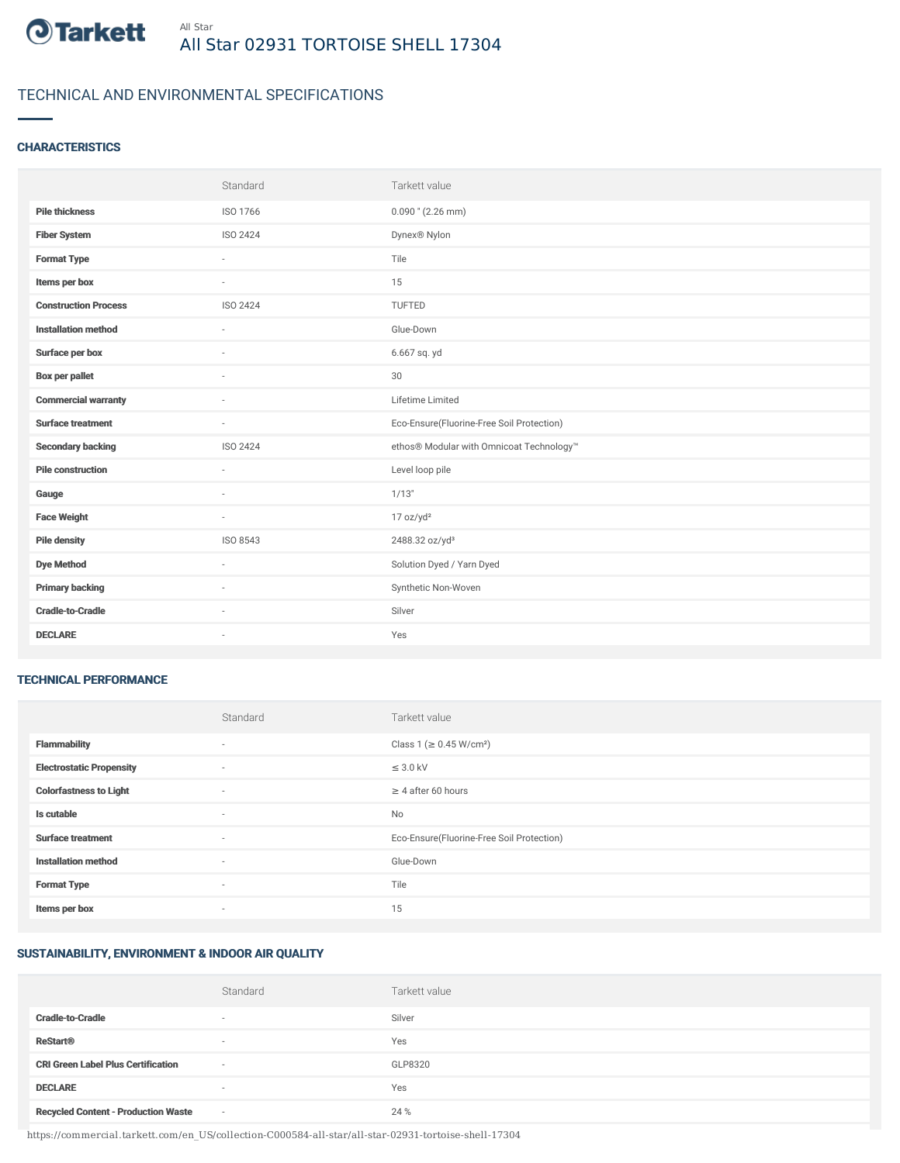

# TECHNICAL AND ENVIRONMENTAL SPECIFICATIONS

### **CHARACTERISTICS**

|                             | Standard | Tarkett value                             |
|-----------------------------|----------|-------------------------------------------|
| <b>Pile thickness</b>       | ISO 1766 | $0.090$ " (2.26 mm)                       |
| <b>Fiber System</b>         | ISO 2424 | Dynex® Nylon                              |
| <b>Format Type</b>          | $\sim$   | Tile                                      |
| Items per box               | ×.       | 15                                        |
| <b>Construction Process</b> | ISO 2424 | TUFTED                                    |
| <b>Installation method</b>  | ÷        | Glue-Down                                 |
| Surface per box             | $\sim$   | 6.667 sq. yd                              |
| <b>Box per pallet</b>       | $\sim$   | 30                                        |
| <b>Commercial warranty</b>  | $\sim$   | Lifetime Limited                          |
| <b>Surface treatment</b>    | $\sim$   | Eco-Ensure(Fluorine-Free Soil Protection) |
| <b>Secondary backing</b>    | ISO 2424 | ethos® Modular with Omnicoat Technology™  |
| <b>Pile construction</b>    | ÷        | Level loop pile                           |
| Gauge                       | $\sim$   | 1/13"                                     |
| <b>Face Weight</b>          | $\sim$   | 17 oz/yd <sup>2</sup>                     |
| <b>Pile density</b>         | ISO 8543 | 2488.32 oz/yd <sup>3</sup>                |
| <b>Dye Method</b>           | $\sim$   | Solution Dyed / Yarn Dyed                 |
| <b>Primary backing</b>      | $\sim$   | Synthetic Non-Woven                       |
| <b>Cradle-to-Cradle</b>     |          | Silver                                    |
| <b>DECLARE</b>              | $\sim$   | Yes                                       |

#### TECHNICAL PERFORMANCE

|                                 | Standard                 | Tarkett value                             |
|---------------------------------|--------------------------|-------------------------------------------|
| <b>Flammability</b>             | ٠                        | Class 1 (≥ 0.45 W/cm <sup>2</sup> )       |
| <b>Electrostatic Propensity</b> | $\sim$                   | $\leq$ 3.0 kV                             |
| <b>Colorfastness to Light</b>   | ٠                        | $\geq 4$ after 60 hours                   |
| Is cutable                      | ٠                        | No                                        |
| <b>Surface treatment</b>        | ٠                        | Eco-Ensure(Fluorine-Free Soil Protection) |
| <b>Installation method</b>      | ٠                        | Glue-Down                                 |
| <b>Format Type</b>              | $\sim$                   | Tile                                      |
| Items per box                   | $\overline{\phantom{a}}$ | 15                                        |

## SUSTAINABILITY, ENVIRONMENT & INDOOR AIR QUALITY

|                                            | Standard                 | Tarkett value |
|--------------------------------------------|--------------------------|---------------|
| <b>Cradle-to-Cradle</b>                    | $\overline{\phantom{a}}$ | Silver        |
| <b>ReStart®</b>                            | $\overline{\phantom{a}}$ | Yes           |
| <b>CRI Green Label Plus Certification</b>  | $\sim$                   | GLP8320       |
| <b>DECLARE</b>                             | $\overline{\phantom{a}}$ | Yes           |
| <b>Recycled Content - Production Waste</b> | $\sim$                   | 24 %          |

https://commercial.tarkett.com/en\_US/collection-C000584-all-star/all-star-02931-tortoise-shell-17304